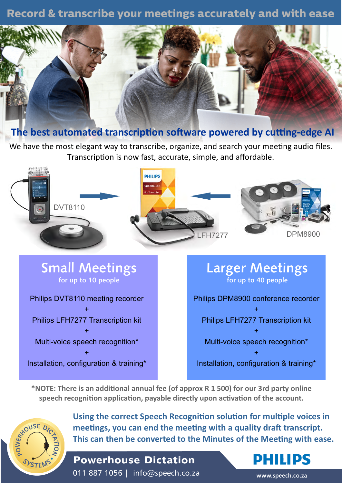# **Record & transcribe your meetings accurately and with ease**



## **The best automated transcription software powered by cutting-edge AI**

We have the most elegant way to transcribe, organize, and search your meeting audio files. Transcription is now fast, accurate, simple, and affordable.



**Small Meetings for up to 10 people**

Philips DVT8110 meeting recorder + Philips LFH7277 Transcription kit + Multi-voice speech recognition\* +

Installation, configuration & training\*

# **Larger Meetings for up to 40 people** Philips DPM8900 conference recorder + Philips LFH7277 Transcription kit + Multi-voice speech recognition\* +

Installation, configuration & training\*

\*NOTE: There is an additional annual fee (of approx R 1 500) for our 3rd party online speech recognition application, payable directly upon activation of the account.



**Using the correct Speech Recognition solution for multiple voices in** meetings, you can end the meeting with a quality draft transcript. **This can then be converted to the Minutes of the Meeting with ease.** 

**Powerhouse Dictation**  011 887 1056 | info@speech.co.za

**www.speech.co.za**